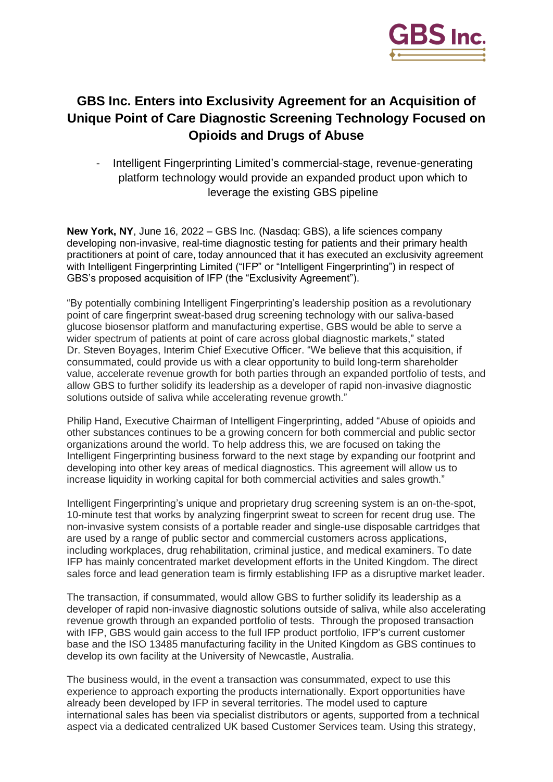

# **GBS Inc. Enters into Exclusivity Agreement for an Acquisition of Unique Point of Care Diagnostic Screening Technology Focused on Opioids and Drugs of Abuse**

Intelligent Fingerprinting Limited's commercial-stage, revenue-generating platform technology would provide an expanded product upon which to leverage the existing GBS pipeline

**New York, NY**, June 16, 2022 – GBS Inc. (Nasdaq: GBS), a life sciences company developing non-invasive, real-time diagnostic testing for patients and their primary health practitioners at point of care, today announced that it has executed an exclusivity agreement with Intelligent Fingerprinting Limited ("IFP" or "Intelligent Fingerprinting") in respect of GBS's proposed acquisition of IFP (the "Exclusivity Agreement").

"By potentially combining Intelligent Fingerprinting's leadership position as a revolutionary point of care fingerprint sweat-based drug screening technology with our saliva-based glucose biosensor platform and manufacturing expertise, GBS would be able to serve a wider spectrum of patients at point of care across global diagnostic markets," stated Dr. Steven Boyages, Interim Chief Executive Officer. "We believe that this acquisition, if consummated, could provide us with a clear opportunity to build long-term shareholder value, accelerate revenue growth for both parties through an expanded portfolio of tests, and allow GBS to further solidify its leadership as a developer of rapid non-invasive diagnostic solutions outside of saliva while accelerating revenue growth."

Philip Hand, Executive Chairman of Intelligent Fingerprinting, added "Abuse of opioids and other substances continues to be a growing concern for both commercial and public sector organizations around the world. To help address this, we are focused on taking the Intelligent Fingerprinting business forward to the next stage by expanding our footprint and developing into other key areas of medical diagnostics. This agreement will allow us to increase liquidity in working capital for both commercial activities and sales growth."

Intelligent Fingerprinting's unique and proprietary drug screening system is an on-the-spot, 10-minute test that works by analyzing fingerprint sweat to screen for recent drug use. The non-invasive system consists of a portable reader and single-use disposable cartridges that are used by a range of public sector and commercial customers across applications, including workplaces, drug rehabilitation, criminal justice, and medical examiners. To date IFP has mainly concentrated market development efforts in the United Kingdom. The direct sales force and lead generation team is firmly establishing IFP as a disruptive market leader.

The transaction, if consummated, would allow GBS to further solidify its leadership as a developer of rapid non-invasive diagnostic solutions outside of saliva, while also accelerating revenue growth through an expanded portfolio of tests. Through the proposed transaction with IFP, GBS would gain access to the full IFP product portfolio, IFP's current customer base and the ISO 13485 manufacturing facility in the United Kingdom as GBS continues to develop its own facility at the University of Newcastle, Australia.

The business would, in the event a transaction was consummated, expect to use this experience to approach exporting the products internationally. Export opportunities have already been developed by IFP in several territories. The model used to capture international sales has been via specialist distributors or agents, supported from a technical aspect via a dedicated centralized UK based Customer Services team. Using this strategy,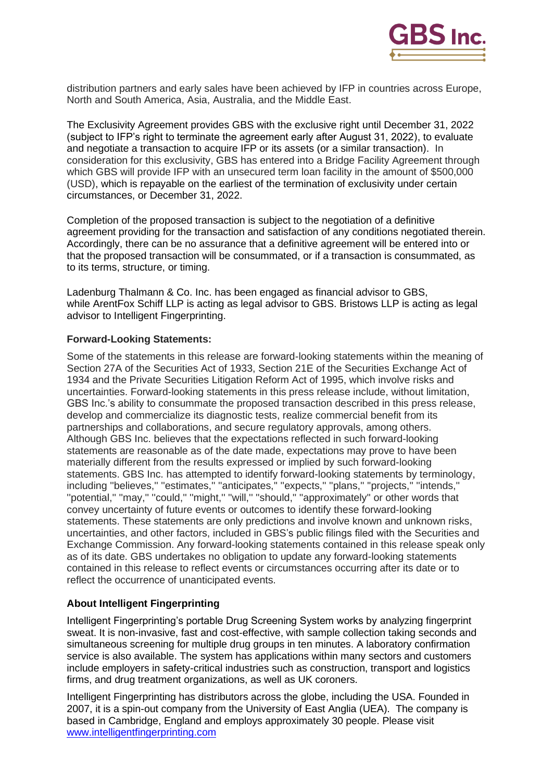

distribution partners and early sales have been achieved by IFP in countries across Europe, North and South America, Asia, Australia, and the Middle East.

The Exclusivity Agreement provides GBS with the exclusive right until December 31, 2022 (subject to IFP's right to terminate the agreement early after August 31, 2022), to evaluate and negotiate a transaction to acquire IFP or its assets (or a similar transaction). In consideration for this exclusivity, GBS has entered into a Bridge Facility Agreement through which GBS will provide IFP with an unsecured term loan facility in the amount of \$500,000 (USD), which is repayable on the earliest of the termination of exclusivity under certain circumstances, or December 31, 2022.

Completion of the proposed transaction is subject to the negotiation of a definitive agreement providing for the transaction and satisfaction of any conditions negotiated therein. Accordingly, there can be no assurance that a definitive agreement will be entered into or that the proposed transaction will be consummated, or if a transaction is consummated, as to its terms, structure, or timing.

Ladenburg Thalmann & Co. Inc. has been engaged as financial advisor to GBS, while ArentFox Schiff LLP is acting as legal advisor to GBS. Bristows LLP is acting as legal advisor to Intelligent Fingerprinting.

### **Forward-Looking Statements:**

Some of the statements in this release are forward-looking statements within the meaning of Section 27A of the Securities Act of 1933, Section 21E of the Securities Exchange Act of 1934 and the Private Securities Litigation Reform Act of 1995, which involve risks and uncertainties. Forward-looking statements in this press release include, without limitation, GBS Inc.'s ability to consummate the proposed transaction described in this press release, develop and commercialize its diagnostic tests, realize commercial benefit from its partnerships and collaborations, and secure regulatory approvals, among others. Although GBS Inc. believes that the expectations reflected in such forward-looking statements are reasonable as of the date made, expectations may prove to have been materially different from the results expressed or implied by such forward-looking statements. GBS Inc. has attempted to identify forward-looking statements by terminology, including ''believes,'' ''estimates,'' ''anticipates,'' ''expects,'' ''plans,'' ''projects,'' ''intends,'' ''potential,'' ''may,'' ''could,'' ''might,'' ''will,'' ''should,'' ''approximately'' or other words that convey uncertainty of future events or outcomes to identify these forward-looking statements. These statements are only predictions and involve known and unknown risks, uncertainties, and other factors, included in GBS's public filings filed with the Securities and Exchange Commission. Any forward-looking statements contained in this release speak only as of its date. GBS undertakes no obligation to update any forward-looking statements contained in this release to reflect events or circumstances occurring after its date or to reflect the occurrence of unanticipated events.

## **About Intelligent Fingerprinting**

Intelligent Fingerprinting's portable Drug Screening System works by analyzing fingerprint sweat. It is non-invasive, fast and cost-effective, with sample collection taking seconds and simultaneous screening for multiple drug groups in ten minutes. A laboratory confirmation service is also available. The system has applications within many sectors and customers include employers in safety-critical industries such as construction, transport and logistics firms, and drug treatment organizations, as well as UK coroners.

Intelligent Fingerprinting has distributors across the globe, including the USA. Founded in 2007, it is a spin-out company from the University of East Anglia (UEA). The company is based in Cambridge, England and employs approximately 30 people. Please visit [www.intelligentfingerprinting.com](http://www.intelligentfingerprinting.com/)